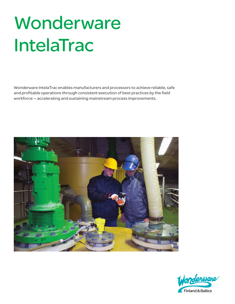# **Wonderware** IntelaTrac

Wonderware IntelaTrac enables manufacturers and processors to achieve reliable, safe and profitable operations through consistent execution of best practices by the field workforce — accelerating and sustaining mainstream process improvements.



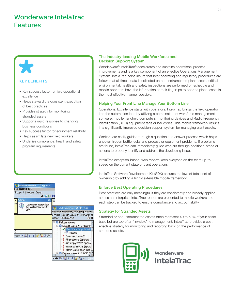# Wonderware IntelaTrac Features

## KEY BENEFITS

- Key success factor for field operational excellence
- Helps steward the consistent execution of best practices
- Provides strategy for monitoring stranded assets
- Supports rapid response to changing business conditions
- Key success factor for equipment reliability
- Helps assimilate new field workers
- Underlies compliance, health and safety program requirements



## The Industry-leading Mobile Workforce and Decision Support System

Wonderware® IntelaTrac® accelerates and sustains operational process improvements and is a key component of an effective Operations Management System. IntelaTrac helps insure that best operating and regulatory procedures are followed at all times, data is collected on non-instrumented plant assets, critical environmental, health and safety inspections are performed on schedule and mobile operators have the information at their fingertips to operate plant assets in the most effective manner possible.

## Helping Your Front Line Manage Your Bottom Line

Operational Excellence starts with operators. IntelaTrac brings the field operator into the automation loop by utilizing a combination of workforce management software, mobile handheld computers, monitoring devices and Radio Frequency Identification (RFID) equipment tags or bar codes. This mobile framework results in a significantly improved decision support system for managing plant assets.

Workers are easily guided through a question and answer process which helps uncover hidden bottlenecks and process or equipment problems. If problems are found, IntelaTrac can immediately guide workers through additional steps or actions to properly identify and address the developing issue.

IntelaTrac exception-based, web reports keep everyone on the team up-tospeed on the current state of plant operations.

IntelaTrac Software Development Kit (SDK) ensures the lowest total cost of ownership by adding a highly extensible mobile framework.

## Enforce Best Operating Procedures

Best practices are only meaningful if they are consistently and broadly applied across an enterprise. IntelaTrac rounds are presented to mobile workers and each step can be tracked to ensure compliance and accountability.

## Strategy for Stranded Assets

Stranded or non-instrumented assets often represent 40 to 60% of your asset base but are too often "invisible" to management. IntelaTrac provides a cost effective strategy for monitoring and reporting back on the performance of stranded assets.



**Wonderware** IntelaTrac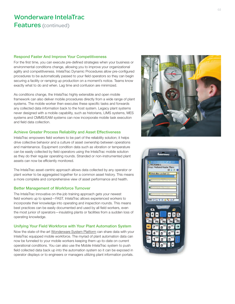#### Respond Faster And Improve Your Competitiveness

For the first time, you can execute pre-defined strategies when your business or environmental conditions change, allowing you to improve your organizational agility and competitiveness. IntelaTrac Dynamic Procedures allow pre-configured procedures to be automatically passed to your field operators so they can begin securing a facility or ramping up production on a moment's notice. Teams know exactly what to do and when. Lag time and confusion are minimized.

As conditions change, the IntelaTrac highly extensible and open mobile framework can also deliver mobile procedures directly from a wide range of plant systems. The mobile worker then executes these specific tasks and forwards any collected data information back to the host system. Legacy plant systems never designed with a mobile capability, such as historians, LIMS systems, MES systems and CMMS/EAM systems can now incorporate mobile task execution and field data collection.

#### Achieve Greater Process Reliability and Asset Effectiveness

IntelaTrac empowers field workers to be part of the reliability solution; it helps drive collective behavior and a culture of asset ownership between operations and maintenance. Equipment condition data such as vibration or temperature can be easily collected by field operators using the IntelaTrac mobile solution as they do their regular operating rounds. Stranded or non-instrumented plant assets can now be efficiently monitored.

The IntelaTrac asset-centric approach allows data collected by any operator or plant worker to be aggregated together for a common asset history. This means a more complete and comprehensive view of asset performance and health.

#### Better Management of Workforce Turnover

The IntelaTrac innovative on-the-job training approach gets your newest field workers up to speed—FAST. IntelaTrac allows experienced workers to incorporate their knowledge into operating and inspection rounds. This means best practices can be easily documented and used by all field workers, even the most junior of operators—insulating plants or facilities from a sudden loss of operating knowledge.

#### Unifying Your Field Workforce with Your Plant Automation System

Now the state-of-the-art [Wonderware System Platform](http://software.invensys.com/products/wonderware/hmi-and-supervisory-control/system-platform) can share data with your IntelaTrac equipped mobile workforce. The myriad of plant automation data can now be funneled to your mobile workers keeping them up-to-date on current operational conditions. You can also use the Mobile IntelaTrac system to push field collected data back up into the automation system so it can be exposed in operator displays or to engineers or managers utilizing plant information portals.



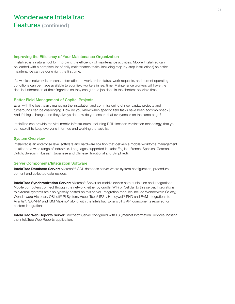#### Improving the Efficiency of Your Maintenance Organization

IntelaTrac is a natural tool for improving the efficiency of maintenance activities. Mobile IntelaTrac can be loaded with a complete list of daily maintenance tasks (including step-by-step instructions) so critical maintenance can be done right the first time.

If a wireless network is present, information on work order status, work requests, and current operating conditions can be made available to your field workers in real time. Maintenance workers will have the detailed information at their fingertips so they can get the job done in the shortest possible time.

#### Better Field Management of Capital Projects

Even with the best team, managing the installation and commissioning of new capital projects and turnarounds can be challenging. How do you know when specific field tasks have been accomplished? | And if things change, and they always do, how do you ensure that everyone is on the same page?

IntelaTrac can provide the vital mobile infrastructure, including RFID location verification technology, that you can exploit to keep everyone informed and working the task list.

#### System Overview

IntelaTrac is an enterprise level software and hardware solution that delivers a mobile workforce management solution to a wide range of industries. Languages supported include: English, French, Spanish, German, Dutch, Swedish, Russian, Japanese and Chinese (Traditional and Simplified).

#### Server Components/Integration Software

IntelaTrac Database Server: Microsoft® SQL database server where system configuration, procedure content and collected data resides.

**IntelaTrac Synchronization Server:** Microsoft Server for mobile device communication and Integrations. Mobile computers connect through the network, either by cradle, WiFi or Cellular to this server. Integrations to external systems are also typically hosted on this server. Integration modules include Wonderware Galaxy, Wonderware Historian, OSIsoft® PI System, AspenTech® IP21, Honeywell® PHD and EAM integrations to Avantis®, SAP-PM and IBM Maximo® along with the IntelaTrac Extensibility API components required for custom integrations.

**IntelaTrac Web Reports Server:** Microsoft Server configured with IIS (Internet Information Services) hosting the IntelaTrac Web Reports application.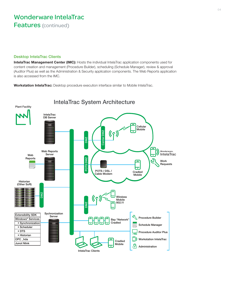#### Desktop IntelaTrac Clients

IntelaTrac Management Center (IMC): Hosts the individual IntelaTrac application components used for content creation and management (Procedure Builder), scheduling (Schedule Manager), review & approval (Auditor Plus) as well as the Administration & Security application components. The Web Reports application is also accessed from the IMC.

Workstation IntelaTrac: Desktop procedure execution interface similar to Mobile IntelaTrac.